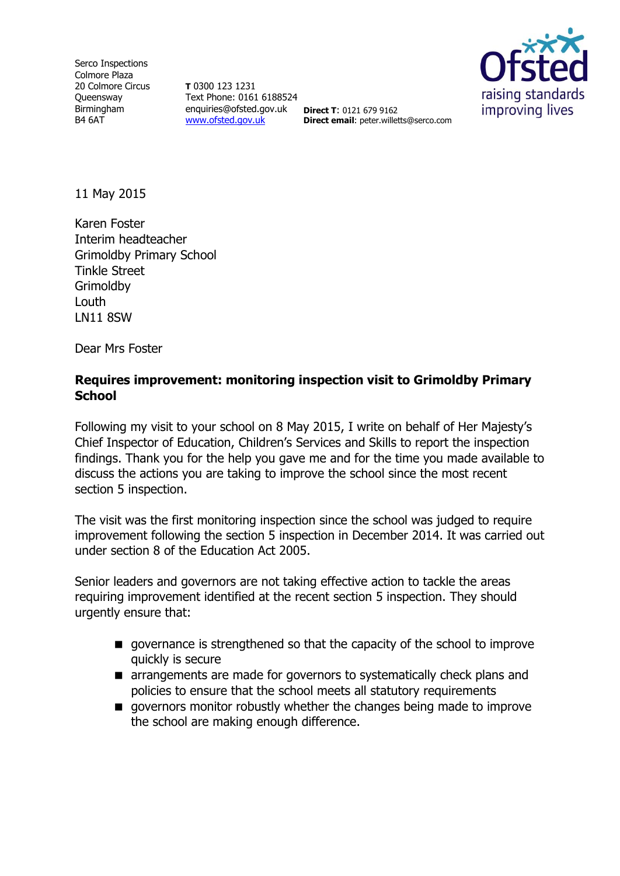Serco Inspections Colmore Plaza 20 Colmore Circus **Queensway** Birmingham B4 6AT

**T** 0300 123 1231 Text Phone: 0161 6188524 enquiries@ofsted.gov.uk **Direct T**: 0121 679 9162 [www.ofsted.gov.uk](http://www.ofsted.gov.uk/)



11 May 2015

Karen Foster Interim headteacher Grimoldby Primary School Tinkle Street **Grimoldby Louth** LN11 8SW

Dear Mrs Foster

#### **Requires improvement: monitoring inspection visit to Grimoldby Primary School**

**Direct email**: peter.willetts@serco.com

Following my visit to your school on 8 May 2015, I write on behalf of Her Majesty's Chief Inspector of Education, Children's Services and Skills to report the inspection findings. Thank you for the help you gave me and for the time you made available to discuss the actions you are taking to improve the school since the most recent section 5 inspection.

The visit was the first monitoring inspection since the school was judged to require improvement following the section 5 inspection in December 2014. It was carried out under section 8 of the Education Act 2005.

Senior leaders and governors are not taking effective action to tackle the areas requiring improvement identified at the recent section 5 inspection. They should urgently ensure that:

- **q** governance is strengthened so that the capacity of the school to improve quickly is secure
- **E** arrangements are made for governors to systematically check plans and policies to ensure that the school meets all statutory requirements
- $\blacksquare$  governors monitor robustly whether the changes being made to improve the school are making enough difference.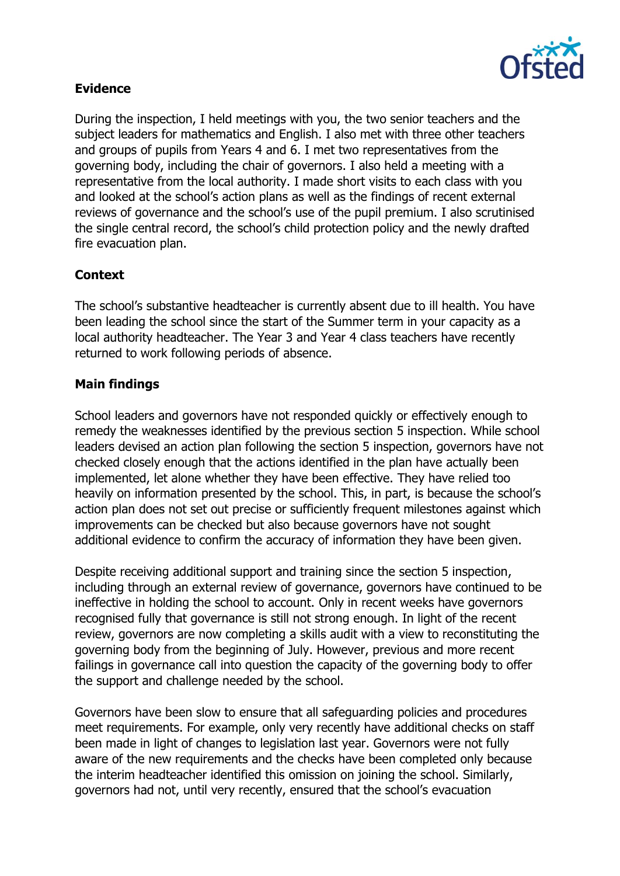

## **Evidence**

During the inspection, I held meetings with you, the two senior teachers and the subject leaders for mathematics and English. I also met with three other teachers and groups of pupils from Years 4 and 6. I met two representatives from the governing body, including the chair of governors. I also held a meeting with a representative from the local authority. I made short visits to each class with you and looked at the school's action plans as well as the findings of recent external reviews of governance and the school's use of the pupil premium. I also scrutinised the single central record, the school's child protection policy and the newly drafted fire evacuation plan.

# **Context**

The school's substantive headteacher is currently absent due to ill health. You have been leading the school since the start of the Summer term in your capacity as a local authority headteacher. The Year 3 and Year 4 class teachers have recently returned to work following periods of absence.

### **Main findings**

School leaders and governors have not responded quickly or effectively enough to remedy the weaknesses identified by the previous section 5 inspection. While school leaders devised an action plan following the section 5 inspection, governors have not checked closely enough that the actions identified in the plan have actually been implemented, let alone whether they have been effective. They have relied too heavily on information presented by the school. This, in part, is because the school's action plan does not set out precise or sufficiently frequent milestones against which improvements can be checked but also because governors have not sought additional evidence to confirm the accuracy of information they have been given.

Despite receiving additional support and training since the section 5 inspection, including through an external review of governance, governors have continued to be ineffective in holding the school to account. Only in recent weeks have governors recognised fully that governance is still not strong enough. In light of the recent review, governors are now completing a skills audit with a view to reconstituting the governing body from the beginning of July. However, previous and more recent failings in governance call into question the capacity of the governing body to offer the support and challenge needed by the school.

Governors have been slow to ensure that all safeguarding policies and procedures meet requirements. For example, only very recently have additional checks on staff been made in light of changes to legislation last year. Governors were not fully aware of the new requirements and the checks have been completed only because the interim headteacher identified this omission on joining the school. Similarly, governors had not, until very recently, ensured that the school's evacuation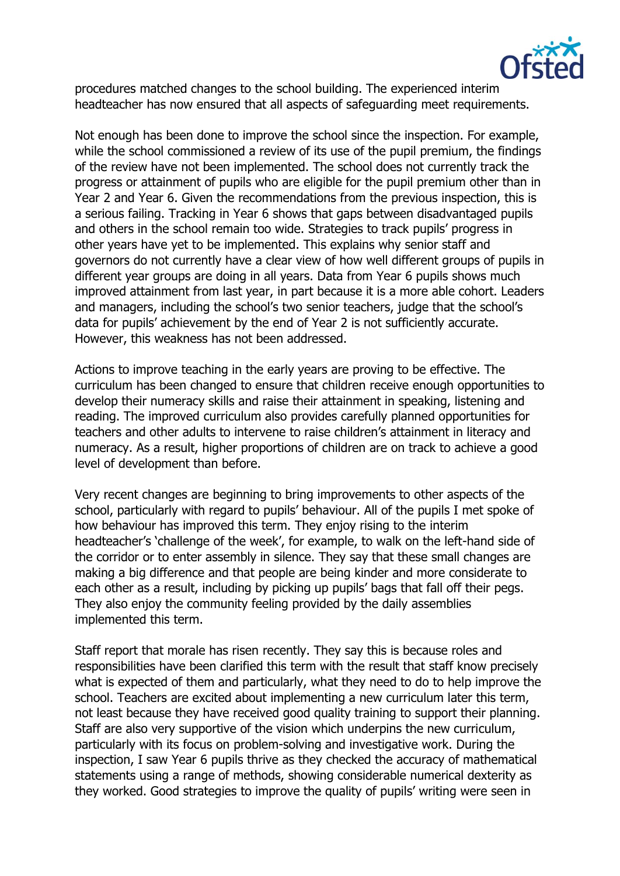

procedures matched changes to the school building. The experienced interim headteacher has now ensured that all aspects of safeguarding meet requirements.

Not enough has been done to improve the school since the inspection. For example, while the school commissioned a review of its use of the pupil premium, the findings of the review have not been implemented. The school does not currently track the progress or attainment of pupils who are eligible for the pupil premium other than in Year 2 and Year 6. Given the recommendations from the previous inspection, this is a serious failing. Tracking in Year 6 shows that gaps between disadvantaged pupils and others in the school remain too wide. Strategies to track pupils' progress in other years have yet to be implemented. This explains why senior staff and governors do not currently have a clear view of how well different groups of pupils in different year groups are doing in all years. Data from Year 6 pupils shows much improved attainment from last year, in part because it is a more able cohort. Leaders and managers, including the school's two senior teachers, judge that the school's data for pupils' achievement by the end of Year 2 is not sufficiently accurate. However, this weakness has not been addressed.

Actions to improve teaching in the early years are proving to be effective. The curriculum has been changed to ensure that children receive enough opportunities to develop their numeracy skills and raise their attainment in speaking, listening and reading. The improved curriculum also provides carefully planned opportunities for teachers and other adults to intervene to raise children's attainment in literacy and numeracy. As a result, higher proportions of children are on track to achieve a good level of development than before.

Very recent changes are beginning to bring improvements to other aspects of the school, particularly with regard to pupils' behaviour. All of the pupils I met spoke of how behaviour has improved this term. They enjoy rising to the interim headteacher's 'challenge of the week', for example, to walk on the left-hand side of the corridor or to enter assembly in silence. They say that these small changes are making a big difference and that people are being kinder and more considerate to each other as a result, including by picking up pupils' bags that fall off their pegs. They also enjoy the community feeling provided by the daily assemblies implemented this term.

Staff report that morale has risen recently. They say this is because roles and responsibilities have been clarified this term with the result that staff know precisely what is expected of them and particularly, what they need to do to help improve the school. Teachers are excited about implementing a new curriculum later this term, not least because they have received good quality training to support their planning. Staff are also very supportive of the vision which underpins the new curriculum, particularly with its focus on problem-solving and investigative work. During the inspection, I saw Year 6 pupils thrive as they checked the accuracy of mathematical statements using a range of methods, showing considerable numerical dexterity as they worked. Good strategies to improve the quality of pupils' writing were seen in